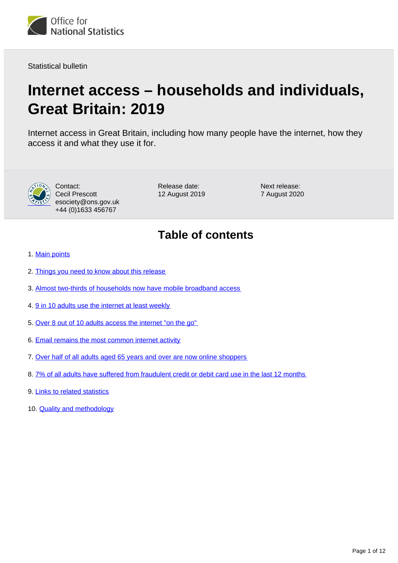

Statistical bulletin

# **Internet access – households and individuals, Great Britain: 2019**

Internet access in Great Britain, including how many people have the internet, how they access it and what they use it for.



Contact: Cecil Prescott esociety@ons.gov.uk +44 (0)1633 456767

Release date: 12 August 2019 Next release: 7 August 2020

# **Table of contents**

- 1. [Main points](#page-1-0)
- 2. [Things you need to know about this release](#page-1-1)
- 3. [Almost two-thirds of households now have mobile broadband access](#page-2-0)
- 4. [9 in 10 adults use the internet at least weekly](#page-3-0)
- 5. [Over 8 out of 10 adults access the internet "on the go"](#page-4-0)
- 6. [Email remains the most common internet activity](#page-5-0)
- 7. [Over half of all adults aged 65 years and over are now online shoppers](#page-7-0)
- 8. [7% of all adults have suffered from fraudulent credit or debit card use in the last 12 months](#page-11-0)
- 9. [Links to related statistics](#page-11-1)
- 10. **[Quality and methodology](#page-11-2)**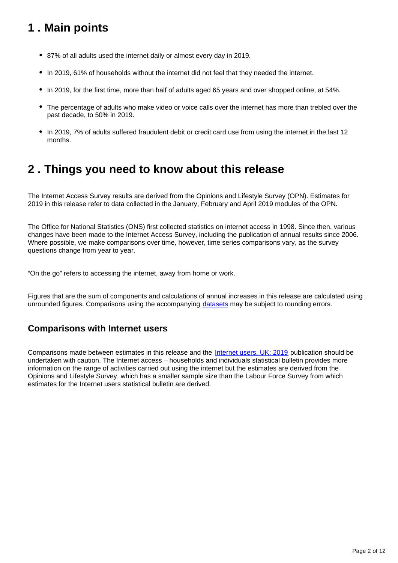# <span id="page-1-0"></span>**1 . Main points**

- 87% of all adults used the internet daily or almost every day in 2019.
- In 2019, 61% of households without the internet did not feel that they needed the internet.
- In 2019, for the first time, more than half of adults aged 65 years and over shopped online, at 54%.
- The percentage of adults who make video or voice calls over the internet has more than trebled over the past decade, to 50% in 2019.
- In 2019, 7% of adults suffered fraudulent debit or credit card use from using the internet in the last 12 months.

### <span id="page-1-1"></span>**2 . Things you need to know about this release**

The Internet Access Survey results are derived from the Opinions and Lifestyle Survey (OPN). Estimates for 2019 in this release refer to data collected in the January, February and April 2019 modules of the OPN.

The Office for National Statistics (ONS) first collected statistics on internet access in 1998. Since then, various changes have been made to the Internet Access Survey, including the publication of annual results since 2006. Where possible, we make comparisons over time, however, time series comparisons vary, as the survey questions change from year to year.

"On the go" refers to accessing the internet, away from home or work.

Figures that are the sum of components and calculations of annual increases in this release are calculated using unrounded figures. Comparisons using the accompanying [datasets](https://www.ons.gov.uk/peoplepopulationandcommunity/householdcharacteristics/homeinternetandsocialmediausage/bulletins/internetaccesshouseholdsandindividuals/2019/relateddata) may be subject to rounding errors.

### **Comparisons with Internet users**

Comparisons made between estimates in this release and the [Internet users, UK: 2019](https://www.ons.gov.uk/businessindustryandtrade/itandinternetindustry/bulletins/internetusers/2019) publication should be undertaken with caution. The Internet access – households and individuals statistical bulletin provides more information on the range of activities carried out using the internet but the estimates are derived from the Opinions and Lifestyle Survey, which has a smaller sample size than the Labour Force Survey from which estimates for the Internet users statistical bulletin are derived.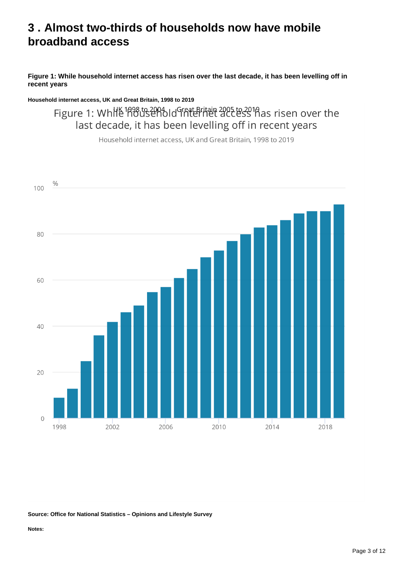### <span id="page-2-0"></span>**3 . Almost two-thirds of households now have mobile broadband access**

#### **Figure 1: While household internet access has risen over the last decade, it has been levelling off in recent years**

**Household internet access, UK and Great Britain, 1998 to 2019**

Figure 1: While 1898 to 2004 Id Grat Britain 2025 to 2018 as risen over the last decade, it has been levelling off in recent years

Household internet access, UK and Great Britain, 1998 to 2019



**Source: Office for National Statistics – Opinions and Lifestyle Survey**

**Notes:**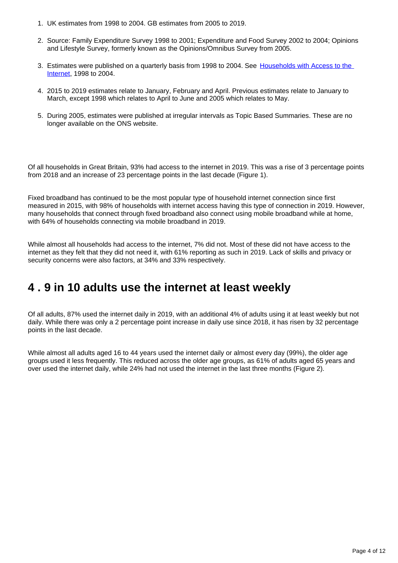- 1. UK estimates from 1998 to 2004. GB estimates from 2005 to 2019.
- 2. Source: Family Expenditure Survey 1998 to 2001; Expenditure and Food Survey 2002 to 2004; Opinions and Lifestyle Survey, formerly known as the Opinions/Omnibus Survey from 2005.
- 3. Estimates were published on a quarterly basis from 1998 to 2004. See Households with Access to the [Internet,](https://webarchive.nationalarchives.gov.uk/20160108062357/http://www.ons.gov.uk/ons/publications/re-reference-tables.html?edition=tcm%3A77-48688) 1998 to 2004.
- 4. 2015 to 2019 estimates relate to January, February and April. Previous estimates relate to January to March, except 1998 which relates to April to June and 2005 which relates to May.
- 5. During 2005, estimates were published at irregular intervals as Topic Based Summaries. These are no longer available on the ONS website.

Of all households in Great Britain, 93% had access to the internet in 2019. This was a rise of 3 percentage points from 2018 and an increase of 23 percentage points in the last decade (Figure 1).

Fixed broadband has continued to be the most popular type of household internet connection since first measured in 2015, with 98% of households with internet access having this type of connection in 2019. However, many households that connect through fixed broadband also connect using mobile broadband while at home, with 64% of households connecting via mobile broadband in 2019.

While almost all households had access to the internet, 7% did not. Most of these did not have access to the internet as they felt that they did not need it, with 61% reporting as such in 2019. Lack of skills and privacy or security concerns were also factors, at 34% and 33% respectively.

### <span id="page-3-0"></span>**4 . 9 in 10 adults use the internet at least weekly**

Of all adults, 87% used the internet daily in 2019, with an additional 4% of adults using it at least weekly but not daily. While there was only a 2 percentage point increase in daily use since 2018, it has risen by 32 percentage points in the last decade.

While almost all adults aged 16 to 44 years used the internet daily or almost every day (99%), the older age groups used it less frequently. This reduced across the older age groups, as 61% of adults aged 65 years and over used the internet daily, while 24% had not used the internet in the last three months (Figure 2).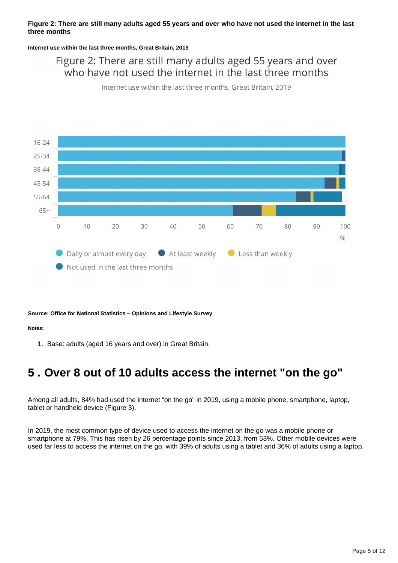#### **Figure 2: There are still many adults aged 55 years and over who have not used the internet in the last three months**

**Internet use within the last three months, Great Britain, 2019**

Figure 2: There are still many adults aged 55 years and over who have not used the internet in the last three months

Internet use within the last three months, Great Britain, 2019



#### **Source: Office for National Statistics – Opinions and Lifestyle Survey**

**Notes:**

1. Base: adults (aged 16 years and over) in Great Britain.

# <span id="page-4-0"></span>**5 . Over 8 out of 10 adults access the internet "on the go"**

Among all adults, 84% had used the internet "on the go" in 2019, using a mobile phone, smartphone, laptop, tablet or handheld device (Figure 3).

In 2019, the most common type of device used to access the internet on the go was a mobile phone or smartphone at 79%. This has risen by 26 percentage points since 2013, from 53%. Other mobile devices were used far less to access the internet on the go, with 39% of adults using a tablet and 36% of adults using a laptop.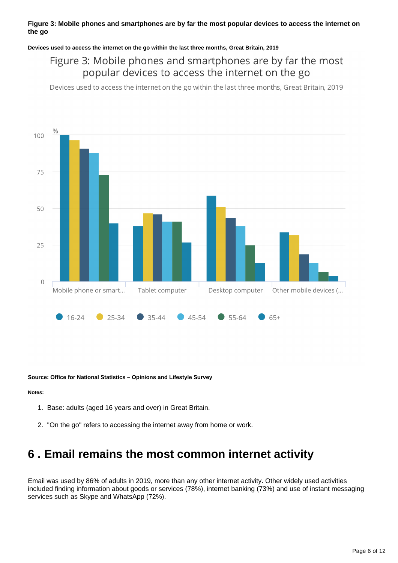#### **Figure 3: Mobile phones and smartphones are by far the most popular devices to access the internet on the go**

#### **Devices used to access the internet on the go within the last three months, Great Britain, 2019**

### Figure 3: Mobile phones and smartphones are by far the most popular devices to access the internet on the go

Devices used to access the internet on the go within the last three months, Great Britain, 2019



**Source: Office for National Statistics – Opinions and Lifestyle Survey**

#### **Notes:**

- 1. Base: adults (aged 16 years and over) in Great Britain.
- 2. "On the go" refers to accessing the internet away from home or work.

### <span id="page-5-0"></span>**6 . Email remains the most common internet activity**

Email was used by 86% of adults in 2019, more than any other internet activity. Other widely used activities included finding information about goods or services (78%), internet banking (73%) and use of instant messaging services such as Skype and WhatsApp (72%).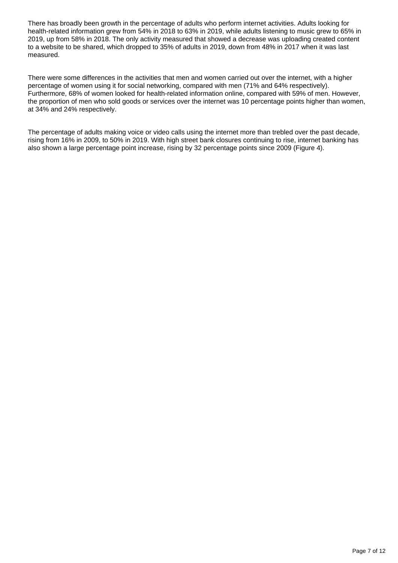There has broadly been growth in the percentage of adults who perform internet activities. Adults looking for health-related information grew from 54% in 2018 to 63% in 2019, while adults listening to music grew to 65% in 2019, up from 58% in 2018. The only activity measured that showed a decrease was uploading created content to a website to be shared, which dropped to 35% of adults in 2019, down from 48% in 2017 when it was last measured.

There were some differences in the activities that men and women carried out over the internet, with a higher percentage of women using it for social networking, compared with men (71% and 64% respectively). Furthermore, 68% of women looked for health-related information online, compared with 59% of men. However, the proportion of men who sold goods or services over the internet was 10 percentage points higher than women, at 34% and 24% respectively.

The percentage of adults making voice or video calls using the internet more than trebled over the past decade, rising from 16% in 2009, to 50% in 2019. With high street bank closures continuing to rise, internet banking has also shown a large percentage point increase, rising by 32 percentage points since 2009 (Figure 4).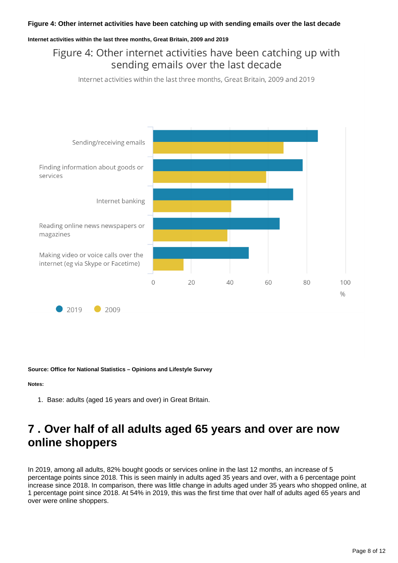#### **Internet activities within the last three months, Great Britain, 2009 and 2019**

### Figure 4: Other internet activities have been catching up with sending emails over the last decade

Internet activities within the last three months, Great Britain, 2009 and 2019



**Source: Office for National Statistics – Opinions and Lifestyle Survey**

#### **Notes:**

1. Base: adults (aged 16 years and over) in Great Britain.

## <span id="page-7-0"></span>**7 . Over half of all adults aged 65 years and over are now online shoppers**

In 2019, among all adults, 82% bought goods or services online in the last 12 months, an increase of 5 percentage points since 2018. This is seen mainly in adults aged 35 years and over, with a 6 percentage point increase since 2018. In comparison, there was little change in adults aged under 35 years who shopped online, at 1 percentage point since 2018. At 54% in 2019, this was the first time that over half of adults aged 65 years and over were online shoppers.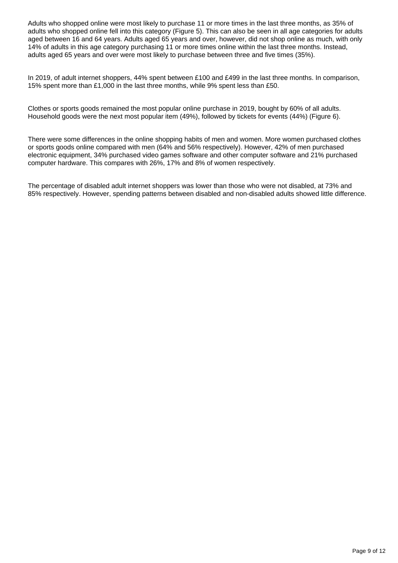Adults who shopped online were most likely to purchase 11 or more times in the last three months, as 35% of adults who shopped online fell into this category (Figure 5). This can also be seen in all age categories for adults aged between 16 and 64 years. Adults aged 65 years and over, however, did not shop online as much, with only 14% of adults in this age category purchasing 11 or more times online within the last three months. Instead, adults aged 65 years and over were most likely to purchase between three and five times (35%).

In 2019, of adult internet shoppers, 44% spent between £100 and £499 in the last three months. In comparison, 15% spent more than £1,000 in the last three months, while 9% spent less than £50.

Clothes or sports goods remained the most popular online purchase in 2019, bought by 60% of all adults. Household goods were the next most popular item (49%), followed by tickets for events (44%) (Figure 6).

There were some differences in the online shopping habits of men and women. More women purchased clothes or sports goods online compared with men (64% and 56% respectively). However, 42% of men purchased electronic equipment, 34% purchased video games software and other computer software and 21% purchased computer hardware. This compares with 26%, 17% and 8% of women respectively.

The percentage of disabled adult internet shoppers was lower than those who were not disabled, at 73% and 85% respectively. However, spending patterns between disabled and non-disabled adults showed little difference.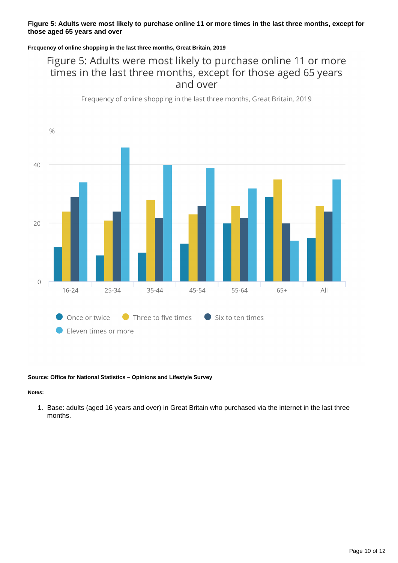#### **Figure 5: Adults were most likely to purchase online 11 or more times in the last three months, except for those aged 65 years and over**

#### **Frequency of online shopping in the last three months, Great Britain, 2019**

### Figure 5: Adults were most likely to purchase online 11 or more times in the last three months, except for those aged 65 years and over

Frequency of online shopping in the last three months, Great Britain, 2019



#### **Source: Office for National Statistics – Opinions and Lifestyle Survey**

#### **Notes:**

1. Base: adults (aged 16 years and over) in Great Britain who purchased via the internet in the last three months.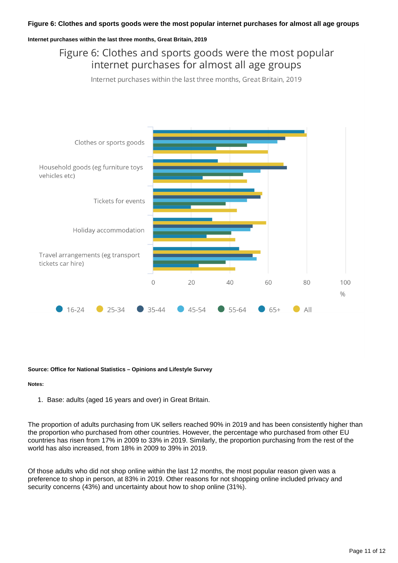#### **Figure 6: Clothes and sports goods were the most popular internet purchases for almost all age groups**

#### **Internet purchases within the last three months, Great Britain, 2019**

### Figure 6: Clothes and sports goods were the most popular internet purchases for almost all age groups

Internet purchases within the last three months, Great Britain, 2019



#### **Source: Office for National Statistics – Opinions and Lifestyle Survey**

#### **Notes:**

1. Base: adults (aged 16 years and over) in Great Britain.

The proportion of adults purchasing from UK sellers reached 90% in 2019 and has been consistently higher than the proportion who purchased from other countries. However, the percentage who purchased from other EU countries has risen from 17% in 2009 to 33% in 2019. Similarly, the proportion purchasing from the rest of the world has also increased, from 18% in 2009 to 39% in 2019.

Of those adults who did not shop online within the last 12 months, the most popular reason given was a preference to shop in person, at 83% in 2019. Other reasons for not shopping online included privacy and security concerns (43%) and uncertainty about how to shop online (31%).